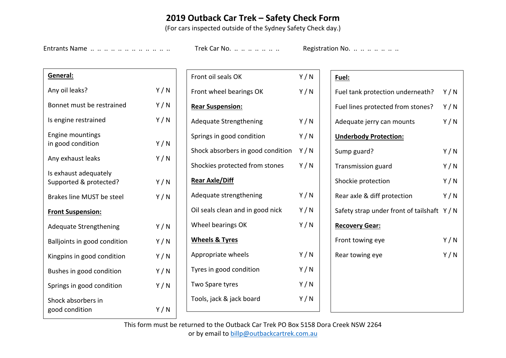## **2019 Outback Car Trek – Safety Check Form**

(For cars inspected outside of the Sydney Safety Check day.)

Entrants Name .. .. .. .. .. .. .. .. .. .. .. Trek Car No. .. .. .. .. .. .. .. Registration No. .. .. .. .. .. ..

| General:                                        |     |  |  |  |  |
|-------------------------------------------------|-----|--|--|--|--|
| Any oil leaks?                                  | Y/N |  |  |  |  |
| Bonnet must be restrained                       | Y/N |  |  |  |  |
| Is engine restrained                            | Y/N |  |  |  |  |
| <b>Engine mountings</b><br>in good condition    | Y/N |  |  |  |  |
| Any exhaust leaks                               | Y/N |  |  |  |  |
| Is exhaust adequately<br>Supported & protected? | Y/N |  |  |  |  |
| <b>Brakes line MUST be steel</b>                | Y/N |  |  |  |  |
| <b>Front Suspension:</b>                        |     |  |  |  |  |
| <b>Adequate Strengthening</b>                   | Y/N |  |  |  |  |
| Balljoints in good condition                    | Y/N |  |  |  |  |
| Kingpins in good condition                      | Y/N |  |  |  |  |
| Bushes in good condition                        | Y/N |  |  |  |  |
| Springs in good condition                       | Y/N |  |  |  |  |
| Shock absorbers in<br>good condition            | Y/N |  |  |  |  |

| Front oil seals OK                      | Y/N |  |  |  |  |  |
|-----------------------------------------|-----|--|--|--|--|--|
| Front wheel bearings OK                 | Y/N |  |  |  |  |  |
| <b>Rear Suspension:</b>                 |     |  |  |  |  |  |
| <b>Adequate Strengthening</b>           | Y/N |  |  |  |  |  |
| Springs in good condition               | Y/N |  |  |  |  |  |
| Shock absorbers in good condition $Y/N$ |     |  |  |  |  |  |
| Shockies protected from stones          | Y/N |  |  |  |  |  |
| <b>Rear Axle/Diff</b>                   |     |  |  |  |  |  |
| Adequate strengthening                  | Y/N |  |  |  |  |  |
| Oil seals clean and in good nick        | Y/N |  |  |  |  |  |
| Wheel bearings OK                       | Y/N |  |  |  |  |  |
| <b>Wheels &amp; Tyres</b>               |     |  |  |  |  |  |
| Appropriate wheels                      | Y/N |  |  |  |  |  |
| Tyres in good condition                 | Y/N |  |  |  |  |  |
| Two Spare tyres                         | Y/N |  |  |  |  |  |
| Tools, jack & jack board                | Y/N |  |  |  |  |  |
|                                         |     |  |  |  |  |  |

## **Fuel:**

| Fuel tank protection underneath?            | Y/N |
|---------------------------------------------|-----|
| Fuel lines protected from stones?           | Y/N |
| Adequate jerry can mounts                   | Y/N |
| <b>Underbody Protection:</b>                |     |
| Sump guard?                                 | Y/N |
| <b>Transmission guard</b>                   | Y/N |
| Shockie protection                          | Y/N |
| Rear axle & diff protection                 | Y/N |
| Safety strap under front of tailshaft $Y/N$ |     |
| <b>Recovery Gear:</b>                       |     |
| Front towing eye                            | Y/N |
| Rear towing eye                             | Y/N |
|                                             |     |
|                                             |     |
|                                             |     |
|                                             |     |

This form must be returned to the Outback Car Trek PO Box 5158 Dora Creek NSW 2264 or by email to billp@outbackcartrek.com.au